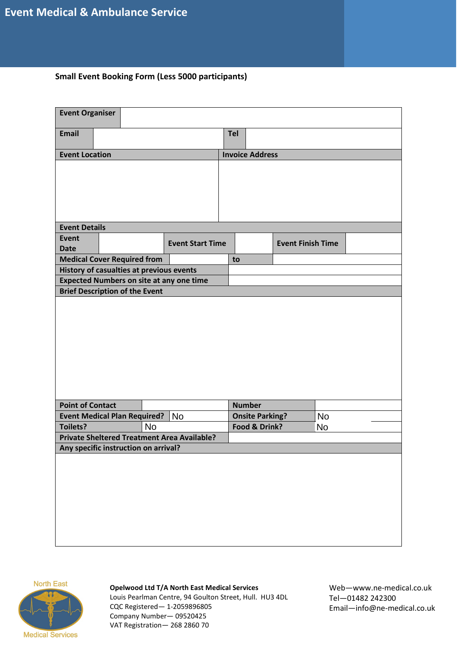# **Small Event Booking Form (Less 5000 participants)**

| <b>Event Organiser</b>                             |                                           |           |                                                 |                        |               |                          |    |  |
|----------------------------------------------------|-------------------------------------------|-----------|-------------------------------------------------|------------------------|---------------|--------------------------|----|--|
| <b>Email</b>                                       |                                           |           |                                                 | <b>Tel</b>             |               |                          |    |  |
| <b>Event Location</b>                              |                                           |           |                                                 | <b>Invoice Address</b> |               |                          |    |  |
|                                                    |                                           |           |                                                 |                        |               |                          |    |  |
|                                                    |                                           |           |                                                 |                        |               |                          |    |  |
|                                                    |                                           |           |                                                 |                        |               |                          |    |  |
|                                                    |                                           |           |                                                 |                        |               |                          |    |  |
|                                                    |                                           |           |                                                 |                        |               |                          |    |  |
| <b>Event Details</b>                               |                                           |           |                                                 |                        |               |                          |    |  |
| <b>Event</b>                                       |                                           |           | <b>Event Start Time</b>                         |                        |               | <b>Event Finish Time</b> |    |  |
| <b>Date</b>                                        |                                           |           |                                                 |                        |               |                          |    |  |
| <b>Medical Cover Required from</b>                 |                                           |           |                                                 | to                     |               |                          |    |  |
| History of casualties at previous events           |                                           |           |                                                 |                        |               |                          |    |  |
|                                                    |                                           |           | <b>Expected Numbers on site at any one time</b> |                        |               |                          |    |  |
| <b>Brief Description of the Event</b>              |                                           |           |                                                 |                        |               |                          |    |  |
|                                                    |                                           |           |                                                 |                        |               |                          |    |  |
| <b>Point of Contact</b>                            |                                           |           |                                                 |                        | <b>Number</b> |                          |    |  |
|                                                    | <b>Event Medical Plan Required?</b><br>No |           |                                                 | <b>Onsite Parking?</b> |               | <b>No</b>                |    |  |
| <b>Toilets?</b>                                    |                                           | <b>No</b> |                                                 |                        | Food & Drink? |                          | No |  |
| <b>Private Sheltered Treatment Area Available?</b> |                                           |           |                                                 |                        |               |                          |    |  |
| Any specific instruction on arrival?               |                                           |           |                                                 |                        |               |                          |    |  |
|                                                    |                                           |           |                                                 |                        |               |                          |    |  |



#### **Opelwood Ltd T/A North East Medical Services**

Louis Pearlman Centre, 94 Goulton Street, Hull. HU3 4DL CQC Registered— 1-2059896805 Company Number— 09520425 VAT Registration— 268 2860 70

Web—www.ne-medical.co.uk Tel—01482 242300 Email—info@ne-medical.co.uk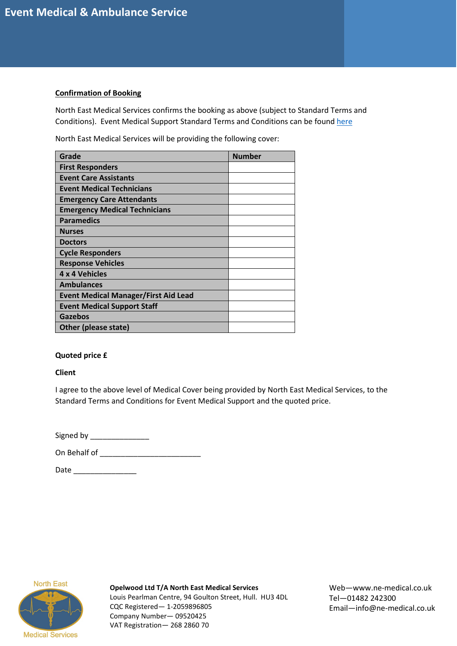## **Confirmation of Booking**

North East Medical Services confirms the booking as above (subject to Standard Terms and Conditions). Event Medical Support Standard Terms and Conditions can be foun[d here](https://ne-medical.co.uk/standard-terms-and-conditions-event-medical-support/)

North East Medical Services will be providing the following cover:

| Grade                                       | <b>Number</b> |
|---------------------------------------------|---------------|
| <b>First Responders</b>                     |               |
| <b>Event Care Assistants</b>                |               |
| <b>Event Medical Technicians</b>            |               |
| <b>Emergency Care Attendants</b>            |               |
| <b>Emergency Medical Technicians</b>        |               |
| <b>Paramedics</b>                           |               |
| <b>Nurses</b>                               |               |
| <b>Doctors</b>                              |               |
| <b>Cycle Responders</b>                     |               |
| <b>Response Vehicles</b>                    |               |
| 4 x 4 Vehicles                              |               |
| <b>Ambulances</b>                           |               |
| <b>Event Medical Manager/First Aid Lead</b> |               |
| <b>Event Medical Support Staff</b>          |               |
| Gazebos                                     |               |
| <b>Other (please state)</b>                 |               |

## **Quoted price £**

**Client**

I agree to the above level of Medical Cover being provided by North East Medical Services, to the Standard Terms and Conditions for Event Medical Support and the quoted price.

| Signed by |  |
|-----------|--|
|-----------|--|

On Behalf of \_\_\_\_\_\_\_\_\_\_\_\_\_\_\_\_\_\_\_\_\_\_\_\_

Date \_\_\_\_\_\_\_\_\_\_\_\_\_\_\_



**Opelwood Ltd T/A North East Medical Services** Louis Pearlman Centre, 94 Goulton Street, Hull. HU3 4DL CQC Registered— 1-2059896805 Company Number— 09520425 VAT Registration— 268 2860 70

Web—www.ne-medical.co.uk Tel—01482 242300 Email—info@ne-medical.co.uk